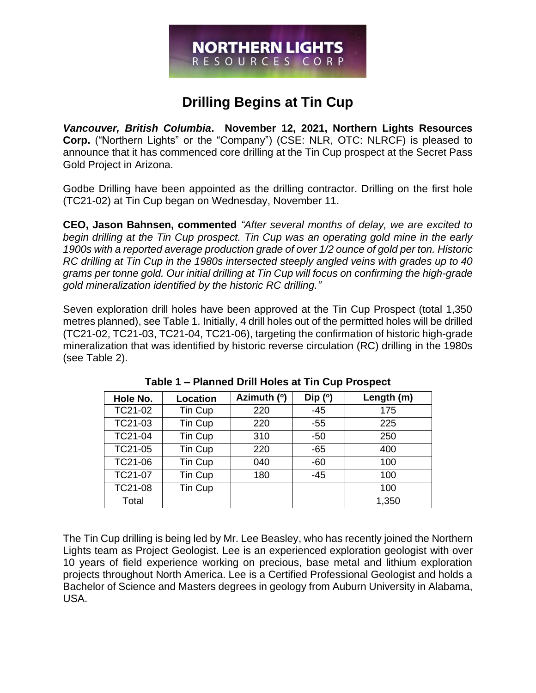# **NORTHERN LIGHTS** RESOURCES CORP

## **Drilling Begins at Tin Cup**

*Vancouver, British Columbia***. November 12, 2021, Northern Lights Resources Corp.** ("Northern Lights" or the "Company") (CSE: NLR, OTC: NLRCF) is pleased to announce that it has commenced core drilling at the Tin Cup prospect at the Secret Pass Gold Project in Arizona.

Godbe Drilling have been appointed as the drilling contractor. Drilling on the first hole (TC21-02) at Tin Cup began on Wednesday, November 11.

**CEO, Jason Bahnsen, commented** *"After several months of delay, we are excited to begin drilling at the Tin Cup prospect. Tin Cup was an operating gold mine in the early 1900s with a reported average production grade of over 1/2 ounce of gold per ton. Historic RC drilling at Tin Cup in the 1980s intersected steeply angled veins with grades up to 40 grams per tonne gold. Our initial drilling at Tin Cup will focus on confirming the high-grade gold mineralization identified by the historic RC drilling."*

Seven exploration drill holes have been approved at the Tin Cup Prospect (total 1,350 metres planned), see Table 1. Initially, 4 drill holes out of the permitted holes will be drilled (TC21-02, TC21-03, TC21-04, TC21-06), targeting the confirmation of historic high-grade mineralization that was identified by historic reverse circulation (RC) drilling in the 1980s (see Table 2).

| Hole No. | Location | Azimuth (°) | Dip $(°)$ | Length (m) |
|----------|----------|-------------|-----------|------------|
| TC21-02  | Tin Cup  | 220         | $-45$     | 175        |
| TC21-03  | Tin Cup  | 220         | $-55$     | 225        |
| TC21-04  | Tin Cup  | 310         | $-50$     | 250        |
| TC21-05  | Tin Cup  | 220         | $-65$     | 400        |
| TC21-06  | Tin Cup  | 040         | $-60$     | 100        |
| TC21-07  | Tin Cup  | 180         | $-45$     | 100        |
| TC21-08  | Tin Cup  |             |           | 100        |
| Total    |          |             |           | 1,350      |

**Table 1 – Planned Drill Holes at Tin Cup Prospect**

The Tin Cup drilling is being led by Mr. Lee Beasley, who has recently joined the Northern Lights team as Project Geologist. Lee is an experienced exploration geologist with over 10 years of field experience working on precious, base metal and lithium exploration projects throughout North America. Lee is a Certified Professional Geologist and holds a Bachelor of Science and Masters degrees in geology from Auburn University in Alabama, USA.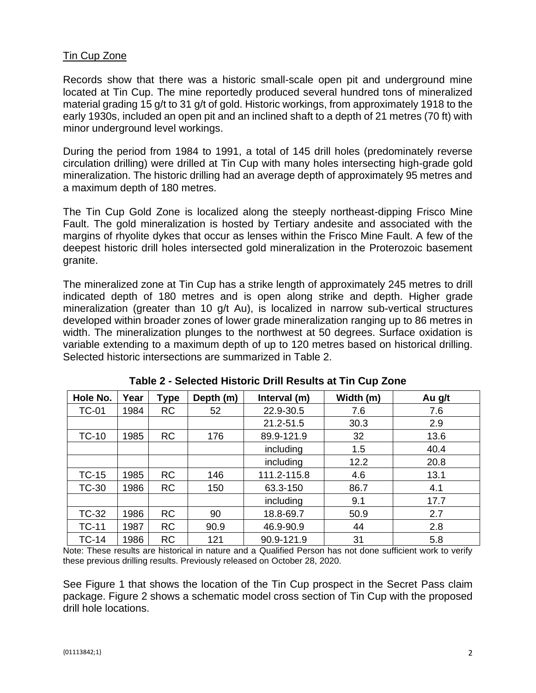#### Tin Cup Zone

Records show that there was a historic small-scale open pit and underground mine located at Tin Cup. The mine reportedly produced several hundred tons of mineralized material grading 15 g/t to 31 g/t of gold. Historic workings, from approximately 1918 to the early 1930s, included an open pit and an inclined shaft to a depth of 21 metres (70 ft) with minor underground level workings.

During the period from 1984 to 1991, a total of 145 drill holes (predominately reverse circulation drilling) were drilled at Tin Cup with many holes intersecting high-grade gold mineralization. The historic drilling had an average depth of approximately 95 metres and a maximum depth of 180 metres.

The Tin Cup Gold Zone is localized along the steeply northeast-dipping Frisco Mine Fault. The gold mineralization is hosted by Tertiary andesite and associated with the margins of rhyolite dykes that occur as lenses within the Frisco Mine Fault. A few of the deepest historic drill holes intersected gold mineralization in the Proterozoic basement granite.

The mineralized zone at Tin Cup has a strike length of approximately 245 metres to drill indicated depth of 180 metres and is open along strike and depth. Higher grade mineralization (greater than 10 g/t Au), is localized in narrow sub-vertical structures developed within broader zones of lower grade mineralization ranging up to 86 metres in width. The mineralization plunges to the northwest at 50 degrees. Surface oxidation is variable extending to a maximum depth of up to 120 metres based on historical drilling. Selected historic intersections are summarized in Table 2.

| Hole No.     | Year | Type      | Depth (m) | Interval (m) | Width (m) | Au g/t |
|--------------|------|-----------|-----------|--------------|-----------|--------|
| <b>TC-01</b> | 1984 | <b>RC</b> | 52        | 22.9-30.5    | 7.6       | 7.6    |
|              |      |           |           | 21.2-51.5    | 30.3      | 2.9    |
| $TC-10$      | 1985 | <b>RC</b> | 176       | 89.9-121.9   | 32        | 13.6   |
|              |      |           |           | including    | 1.5       | 40.4   |
|              |      |           |           | including    | 12.2      | 20.8   |
| $TC-15$      | 1985 | <b>RC</b> | 146       | 111.2-115.8  | 4.6       | 13.1   |
| <b>TC-30</b> | 1986 | <b>RC</b> | 150       | 63.3-150     | 86.7      | 4.1    |
|              |      |           |           | including    | 9.1       | 17.7   |
| <b>TC-32</b> | 1986 | <b>RC</b> | 90        | 18.8-69.7    | 50.9      | 2.7    |
| <b>TC-11</b> | 1987 | <b>RC</b> | 90.9      | 46.9-90.9    | 44        | 2.8    |
| <b>TC-14</b> | 1986 | <b>RC</b> | 121       | 90.9-121.9   | 31        | 5.8    |

**Table 2 - Selected Historic Drill Results at Tin Cup Zone**

Note: These results are historical in nature and a Qualified Person has not done sufficient work to verify these previous drilling results. Previously released on October 28, 2020.

See Figure 1 that shows the location of the Tin Cup prospect in the Secret Pass claim package. Figure 2 shows a schematic model cross section of Tin Cup with the proposed drill hole locations.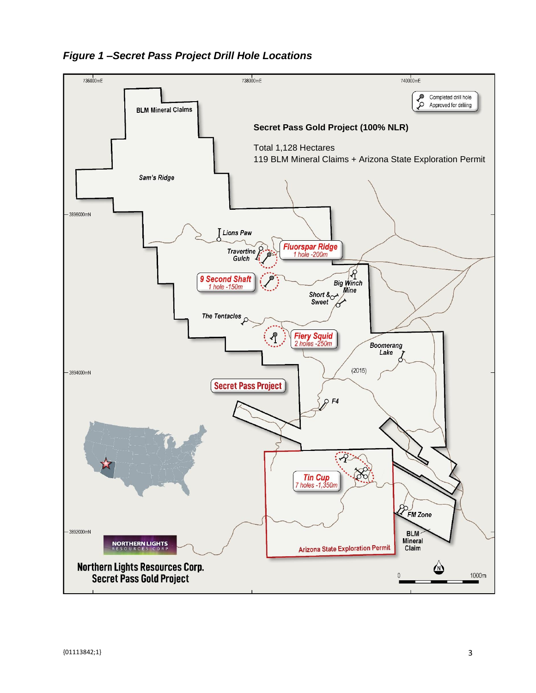

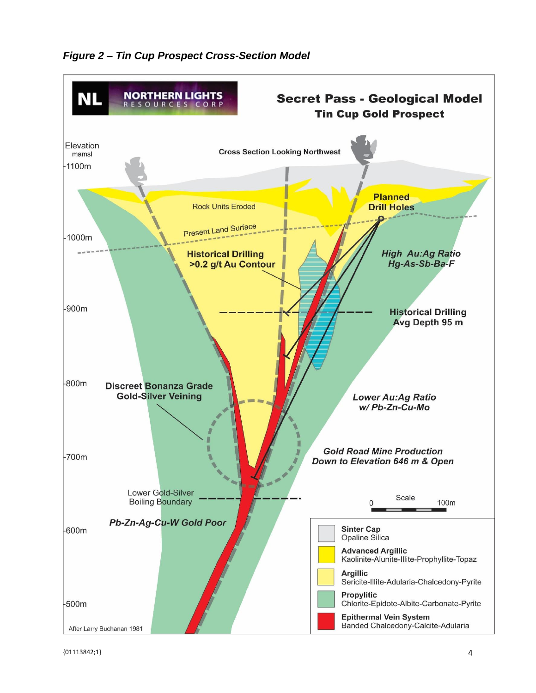